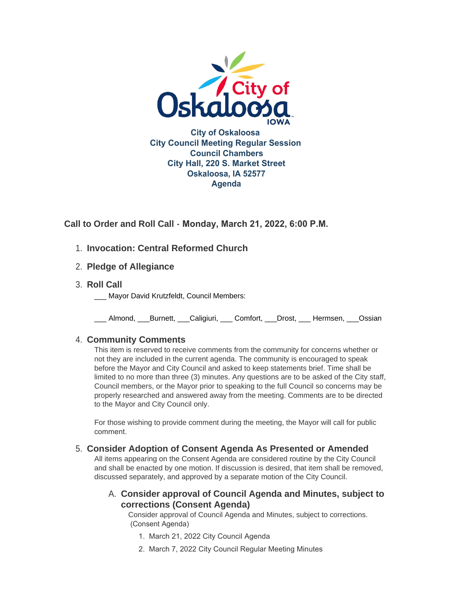

**Call to Order and Roll Call - Monday, March 21, 2022, 6:00 P.M.** 

- **Invocation: Central Reformed Church** 1.
- **Pledge of Allegiance** 2.
- **Roll Call** 3.
	- Mayor David Krutzfeldt, Council Members:

\_\_\_ Almond, \_\_\_Burnett, \_\_\_Caligiuri, \_\_\_ Comfort, \_\_\_Drost, \_\_\_ Hermsen, \_\_\_Ossian

# **Community Comments** 4.

This item is reserved to receive comments from the community for concerns whether or not they are included in the current agenda. The community is encouraged to speak before the Mayor and City Council and asked to keep statements brief. Time shall be limited to no more than three (3) minutes. Any questions are to be asked of the City staff, Council members, or the Mayor prior to speaking to the full Council so concerns may be properly researched and answered away from the meeting. Comments are to be directed to the Mayor and City Council only.

For those wishing to provide comment during the meeting, the Mayor will call for public comment.

# **Consider Adoption of Consent Agenda As Presented or Amended** 5.

All items appearing on the Consent Agenda are considered routine by the City Council and shall be enacted by one motion. If discussion is desired, that item shall be removed, discussed separately, and approved by a separate motion of the City Council.

# **Consider approval of Council Agenda and Minutes, subject to**  A. **corrections (Consent Agenda)**

Consider approval of Council Agenda and Minutes, subject to corrections. (Consent Agenda)

- 1. March 21, 2022 City Council Agenda
- 2. March 7, 2022 City Council Regular Meeting Minutes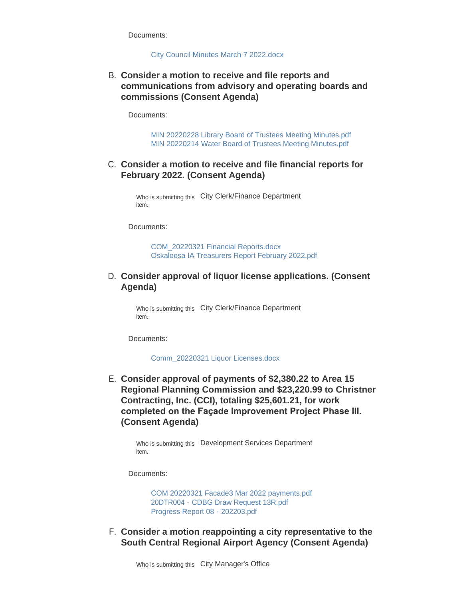Documents:

#### [City Council Minutes March 7 2022.docx](https://www.oskaloosaiowa.org/AgendaCenter/ViewFile/Item/9980?fileID=26296)

## **Consider a motion to receive and file reports and**  B. **communications from advisory and operating boards and commissions (Consent Agenda)**

Documents:

[MIN 20220228 Library Board of Trustees Meeting Minutes.pdf](https://www.oskaloosaiowa.org/AgendaCenter/ViewFile/Item/9981?fileID=26297) [MIN 20220214 Water Board of Trustees Meeting Minutes.pdf](https://www.oskaloosaiowa.org/AgendaCenter/ViewFile/Item/9981?fileID=26298)

#### C. Consider a motion to receive and file financial reports for **February 2022. (Consent Agenda)**

Who is submitting this City Clerk/Finance Department item.

Documents:

[COM\\_20220321 Financial Reports.docx](https://www.oskaloosaiowa.org/AgendaCenter/ViewFile/Item/9925?fileID=26238) [Oskaloosa IA Treasurers Report February 2022.pdf](https://www.oskaloosaiowa.org/AgendaCenter/ViewFile/Item/9925?fileID=26239)

## **Consider approval of liquor license applications. (Consent**  D. **Agenda)**

Who is submitting this City Clerk/Finance Department item.

Documents:

[Comm\\_20220321 Liquor Licenses.docx](https://www.oskaloosaiowa.org/AgendaCenter/ViewFile/Item/9926?fileID=26266)

**Consider approval of payments of \$2,380.22 to Area 15**  E. **Regional Planning Commission and \$23,220.99 to Christner Contracting, Inc. (CCI), totaling \$25,601.21, for work completed on the Façade Improvement Project Phase III. (Consent Agenda)**

Who is submitting this Development Services Department item.

Documents:

[COM 20220321 Facade3 Mar 2022 payments.pdf](https://www.oskaloosaiowa.org/AgendaCenter/ViewFile/Item/9956?fileID=26252) 20DTR004 - [CDBG Draw Request 13R.pdf](https://www.oskaloosaiowa.org/AgendaCenter/ViewFile/Item/9956?fileID=26254) [Progress Report 08 -](https://www.oskaloosaiowa.org/AgendaCenter/ViewFile/Item/9956?fileID=26253) 202203.pdf

**Consider a motion reappointing a city representative to the**  F. **South Central Regional Airport Agency (Consent Agenda)**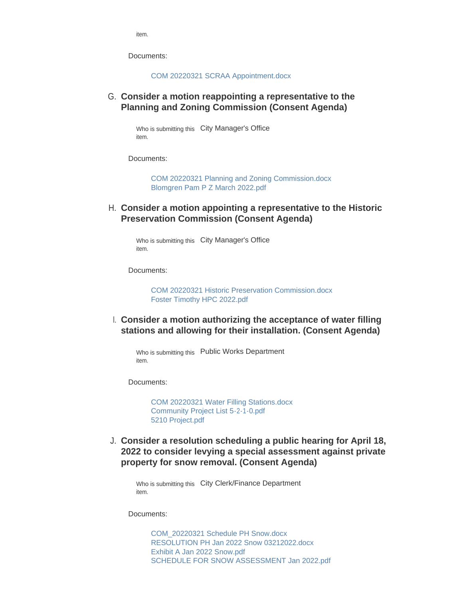item.

Documents:

[COM 20220321 SCRAA Appointment.docx](https://www.oskaloosaiowa.org/AgendaCenter/ViewFile/Item/9714?fileID=26291)

**Consider a motion reappointing a representative to the**  G. **Planning and Zoning Commission (Consent Agenda)**

> Who is submitting this City Manager's Office item.

Documents:

[COM 20220321 Planning and Zoning Commission.docx](https://www.oskaloosaiowa.org/AgendaCenter/ViewFile/Item/9974?fileID=26292) [Blomgren Pam P Z March 2022.pdf](https://www.oskaloosaiowa.org/AgendaCenter/ViewFile/Item/9974?fileID=26293)

**Consider a motion appointing a representative to the Historic**  H. **Preservation Commission (Consent Agenda)**

Who is submitting this City Manager's Office item.

Documents:

COM 20220321 Historic Preservation Commission docx [Foster Timothy HPC 2022.pdf](https://www.oskaloosaiowa.org/AgendaCenter/ViewFile/Item/9972?fileID=26284)

**Consider a motion authorizing the acceptance of water filling**  I. **stations and allowing for their installation. (Consent Agenda)**

Who is submitting this Public Works Department item.

Documents:

[COM 20220321 Water Filling Stations.docx](https://www.oskaloosaiowa.org/AgendaCenter/ViewFile/Item/9967?fileID=26276) [Community Project List 5-2-1-0.pdf](https://www.oskaloosaiowa.org/AgendaCenter/ViewFile/Item/9967?fileID=26277) [5210 Project.pdf](https://www.oskaloosaiowa.org/AgendaCenter/ViewFile/Item/9967?fileID=26278)

**Consider a resolution scheduling a public hearing for April 18,**  J. **2022 to consider levying a special assessment against private property for snow removal. (Consent Agenda)**

Who is submitting this City Clerk/Finance Department item.

Documents:

[COM\\_20220321 Schedule PH Snow.docx](https://www.oskaloosaiowa.org/AgendaCenter/ViewFile/Item/9960?fileID=26240) [RESOLUTION PH Jan 2022 Snow 03212022.docx](https://www.oskaloosaiowa.org/AgendaCenter/ViewFile/Item/9960?fileID=26241) [Exhibit A Jan 2022 Snow.pdf](https://www.oskaloosaiowa.org/AgendaCenter/ViewFile/Item/9960?fileID=26242) [SCHEDULE FOR SNOW ASSESSMENT Jan 2022.pdf](https://www.oskaloosaiowa.org/AgendaCenter/ViewFile/Item/9960?fileID=26243)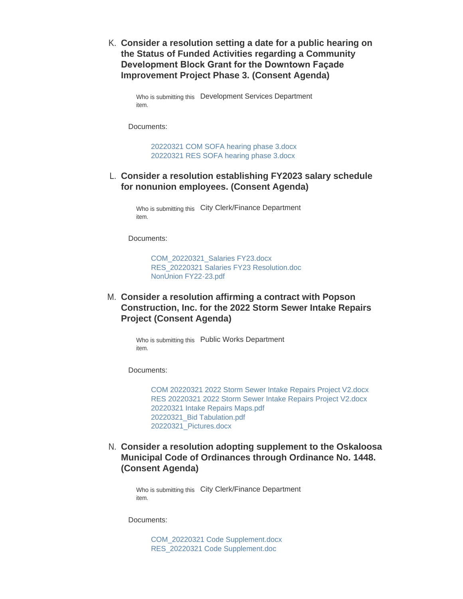**Consider a resolution setting a date for a public hearing on**  K. **the Status of Funded Activities regarding a Community Development Block Grant for the Downtown Façade Improvement Project Phase 3. (Consent Agenda)**

Who is submitting this Development Services Department item.

Documents:

[20220321 COM SOFA hearing phase 3.docx](https://www.oskaloosaiowa.org/AgendaCenter/ViewFile/Item/9962?fileID=26256) [20220321 RES SOFA hearing phase 3.docx](https://www.oskaloosaiowa.org/AgendaCenter/ViewFile/Item/9962?fileID=26255)

### **Consider a resolution establishing FY2023 salary schedule**  L. **for nonunion employees. (Consent Agenda)**

Who is submitting this City Clerk/Finance Department item.

Documents:

[COM\\_20220321\\_Salaries FY23.docx](https://www.oskaloosaiowa.org/AgendaCenter/ViewFile/Item/9927?fileID=26233) [RES\\_20220321 Salaries FY23 Resolution.doc](https://www.oskaloosaiowa.org/AgendaCenter/ViewFile/Item/9927?fileID=26234) [NonUnion FY22-23.pdf](https://www.oskaloosaiowa.org/AgendaCenter/ViewFile/Item/9927?fileID=26235)

**Consider a resolution affirming a contract with Popson**  M. **Construction, Inc. for the 2022 Storm Sewer Intake Repairs Project (Consent Agenda)**

> Who is submitting this Public Works Department item.

Documents:

[COM 20220321 2022 Storm Sewer Intake Repairs Project V2.docx](https://www.oskaloosaiowa.org/AgendaCenter/ViewFile/Item/9965?fileID=26261) [RES 20220321 2022 Storm Sewer Intake Repairs Project V2.docx](https://www.oskaloosaiowa.org/AgendaCenter/ViewFile/Item/9965?fileID=26262) [20220321 Intake Repairs Maps.pdf](https://www.oskaloosaiowa.org/AgendaCenter/ViewFile/Item/9965?fileID=26265) [20220321\\_Bid Tabulation.pdf](https://www.oskaloosaiowa.org/AgendaCenter/ViewFile/Item/9965?fileID=26264) [20220321\\_Pictures.docx](https://www.oskaloosaiowa.org/AgendaCenter/ViewFile/Item/9965?fileID=26263)

**Consider a resolution adopting supplement to the Oskaloosa**  N. **Municipal Code of Ordinances through Ordinance No. 1448. (Consent Agenda)**

Who is submitting this City Clerk/Finance Department item.

Documents:

[COM\\_20220321 Code Supplement.docx](https://www.oskaloosaiowa.org/AgendaCenter/ViewFile/Item/9959?fileID=26236) [RES\\_20220321 Code Supplement.doc](https://www.oskaloosaiowa.org/AgendaCenter/ViewFile/Item/9959?fileID=26237)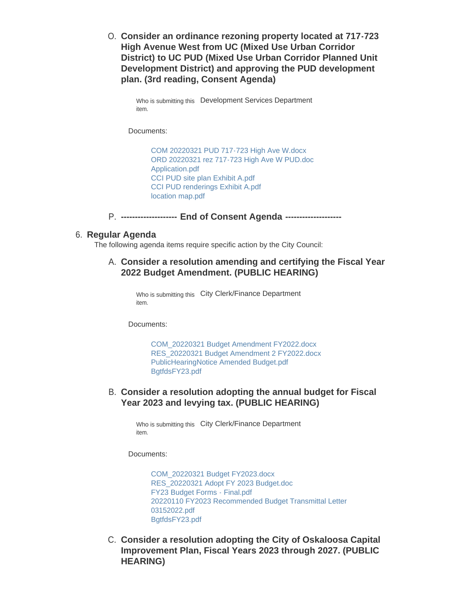**Consider an ordinance rezoning property located at 717-723**  O. **High Avenue West from UC (Mixed Use Urban Corridor District) to UC PUD (Mixed Use Urban Corridor Planned Unit Development District) and approving the PUD development plan. (3rd reading, Consent Agenda)**

```
Who is submitting this Development Services Department
item.
```
Documents:

[COM 20220321 PUD 717-723 High Ave W.docx](https://www.oskaloosaiowa.org/AgendaCenter/ViewFile/Item/9758?fileID=26246) [ORD 20220321 rez 717-723 High Ave W PUD.doc](https://www.oskaloosaiowa.org/AgendaCenter/ViewFile/Item/9758?fileID=26247) [Application.pdf](https://www.oskaloosaiowa.org/AgendaCenter/ViewFile/Item/9758?fileID=26248) [CCI PUD site plan Exhibit A.pdf](https://www.oskaloosaiowa.org/AgendaCenter/ViewFile/Item/9758?fileID=26249) [CCI PUD renderings Exhibit A.pdf](https://www.oskaloosaiowa.org/AgendaCenter/ViewFile/Item/9758?fileID=26250) [location map.pdf](https://www.oskaloosaiowa.org/AgendaCenter/ViewFile/Item/9758?fileID=26251)

P. -------------------- End of Consent Agenda --------------------

#### **Regular Agenda** 6.

The following agenda items require specific action by the City Council:

#### **Consider a resolution amending and certifying the Fiscal Year**  A. **2022 Budget Amendment. (PUBLIC HEARING)**

Who is submitting this City Clerk/Finance Department item.

Documents:

[COM\\_20220321 Budget Amendment FY2022.docx](https://www.oskaloosaiowa.org/AgendaCenter/ViewFile/Item/9922?fileID=26275) [RES\\_20220321 Budget Amendment 2 FY2022.docx](https://www.oskaloosaiowa.org/AgendaCenter/ViewFile/Item/9922?fileID=26271) [PublicHearingNotice Amended Budget.pdf](https://www.oskaloosaiowa.org/AgendaCenter/ViewFile/Item/9922?fileID=26272) [BgtfdsFY23.pdf](https://www.oskaloosaiowa.org/AgendaCenter/ViewFile/Item/9922?fileID=26270)

### **Consider a resolution adopting the annual budget for Fiscal**  B. **Year 2023 and levying tax. (PUBLIC HEARING)**

Who is submitting this City Clerk/Finance Department item.

Documents:

[COM\\_20220321 Budget FY2023.docx](https://www.oskaloosaiowa.org/AgendaCenter/ViewFile/Item/9923?fileID=26303) [RES\\_20220321 Adopt FY 2023 Budget.doc](https://www.oskaloosaiowa.org/AgendaCenter/ViewFile/Item/9923?fileID=26300) [FY23 Budget Forms - Final.pdf](https://www.oskaloosaiowa.org/AgendaCenter/ViewFile/Item/9923?fileID=26309) [20220110 FY2023 Recommended Budget Transmittal Letter](https://www.oskaloosaiowa.org/AgendaCenter/ViewFile/Item/9923?fileID=26308)  03152022.pdf [BgtfdsFY23.pdf](https://www.oskaloosaiowa.org/AgendaCenter/ViewFile/Item/9923?fileID=26302)

**C. Consider a resolution adopting the City of Oskaloosa Capital Improvement Plan, Fiscal Years 2023 through 2027. (PUBLIC HEARING)**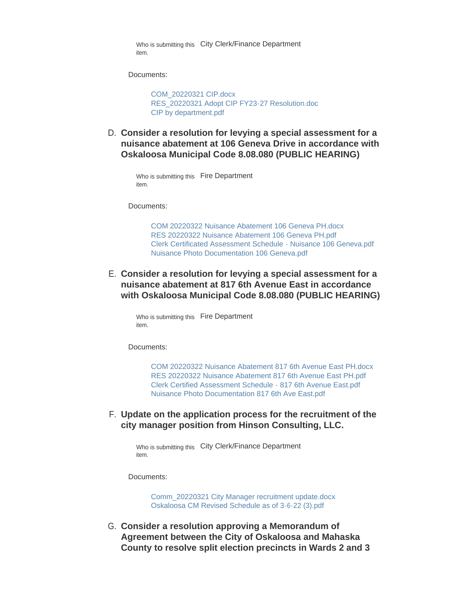Who is submitting this City Clerk/Finance Department item.

Documents:

[COM\\_20220321 CIP.docx](https://www.oskaloosaiowa.org/AgendaCenter/ViewFile/Item/9924?fileID=26230) [RES\\_20220321 Adopt CIP FY23-27 Resolution.doc](https://www.oskaloosaiowa.org/AgendaCenter/ViewFile/Item/9924?fileID=26231) [CIP by department.pdf](https://www.oskaloosaiowa.org/AgendaCenter/ViewFile/Item/9924?fileID=26232)

**Consider a resolution for levying a special assessment for a**  D. **nuisance abatement at 106 Geneva Drive in accordance with Oskaloosa Municipal Code 8.08.080 (PUBLIC HEARING)**

```
Who is submitting this Fire Department
item.
```
Documents:

[COM 20220322 Nuisance Abatement 106 Geneva PH.docx](https://www.oskaloosaiowa.org/AgendaCenter/ViewFile/Item/9973?fileID=26320) [RES 20220322 Nuisance Abatement 106 Geneva PH.pdf](https://www.oskaloosaiowa.org/AgendaCenter/ViewFile/Item/9973?fileID=26321) [Clerk Certificated Assessment Schedule - Nuisance 106 Geneva.pdf](https://www.oskaloosaiowa.org/AgendaCenter/ViewFile/Item/9973?fileID=26322) [Nuisance Photo Documentation 106 Geneva.pdf](https://www.oskaloosaiowa.org/AgendaCenter/ViewFile/Item/9973?fileID=26323)

**Consider a resolution for levying a special assessment for a**  E. **nuisance abatement at 817 6th Avenue East in accordance with Oskaloosa Municipal Code 8.08.080 (PUBLIC HEARING)**

Who is submitting this Fire Department item.

Documents:

[COM 20220322 Nuisance Abatement 817 6th Avenue East PH.docx](https://www.oskaloosaiowa.org/AgendaCenter/ViewFile/Item/9971?fileID=26324) [RES 20220322 Nuisance Abatement 817 6th Avenue East PH.pdf](https://www.oskaloosaiowa.org/AgendaCenter/ViewFile/Item/9971?fileID=26328) [Clerk Certified Assessment Schedule - 817 6th Avenue East.pdf](https://www.oskaloosaiowa.org/AgendaCenter/ViewFile/Item/9971?fileID=26326) [Nuisance Photo Documentation 817 6th Ave East.pdf](https://www.oskaloosaiowa.org/AgendaCenter/ViewFile/Item/9971?fileID=26327)

**Update on the application process for the recruitment of the**  F. **city manager position from Hinson Consulting, LLC.**

Who is submitting this City Clerk/Finance Department item.

Documents:

[Comm\\_20220321 City Manager recruitment update.docx](https://www.oskaloosaiowa.org/AgendaCenter/ViewFile/Item/9966?fileID=26268) [Oskaloosa CM Revised Schedule as of 3-6-22 \(3\).pdf](https://www.oskaloosaiowa.org/AgendaCenter/ViewFile/Item/9966?fileID=26267)

G. Consider a resolution approving a Memorandum of **Agreement between the City of Oskaloosa and Mahaska County to resolve split election precincts in Wards 2 and 3**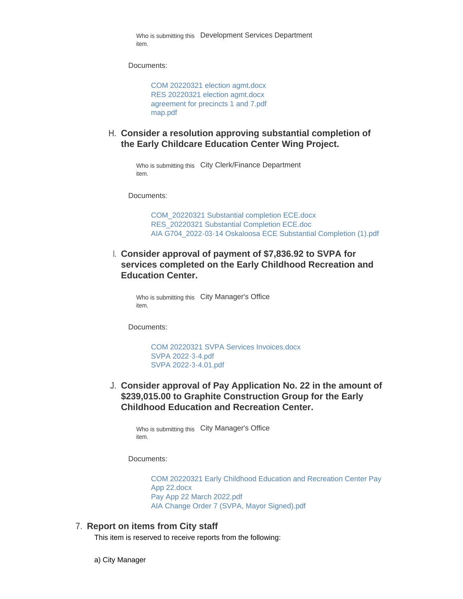Who is submitting this Development Services Department item.

Documents:

[COM 20220321 election agmt.docx](https://www.oskaloosaiowa.org/AgendaCenter/ViewFile/Item/9937?fileID=26257) [RES 20220321 election agmt.docx](https://www.oskaloosaiowa.org/AgendaCenter/ViewFile/Item/9937?fileID=26259) [agreement for precincts 1 and 7.pdf](https://www.oskaloosaiowa.org/AgendaCenter/ViewFile/Item/9937?fileID=26260) [map.pdf](https://www.oskaloosaiowa.org/AgendaCenter/ViewFile/Item/9937?fileID=26258)

**Consider a resolution approving substantial completion of**  H. **the Early Childcare Education Center Wing Project.**

Who is submitting this City Clerk/Finance Department item.

Documents:

[COM\\_20220321 Substantial completion ECE.docx](https://www.oskaloosaiowa.org/AgendaCenter/ViewFile/Item/9987?fileID=26310) [RES\\_20220321 Substantial Completion ECE.doc](https://www.oskaloosaiowa.org/AgendaCenter/ViewFile/Item/9987?fileID=26316) [AIA G704\\_2022-03-14 Oskaloosa ECE Substantial Completion \(1\).pdf](https://www.oskaloosaiowa.org/AgendaCenter/ViewFile/Item/9987?fileID=26312)

**Consider approval of payment of \$7,836.92 to SVPA for**  I. **services completed on the Early Childhood Recreation and Education Center.** 

Who is submitting this City Manager's Office item.

Documents:

[COM 20220321 SVPA Services Invoices.docx](https://www.oskaloosaiowa.org/AgendaCenter/ViewFile/Item/9958?fileID=26227) [SVPA 2022-3-4.pdf](https://www.oskaloosaiowa.org/AgendaCenter/ViewFile/Item/9958?fileID=26228) [SVPA 2022-3-4.01.pdf](https://www.oskaloosaiowa.org/AgendaCenter/ViewFile/Item/9958?fileID=26229)

**Consider approval of Pay Application No. 22 in the amount of**  J. **\$239,015.00 to Graphite Construction Group for the Early Childhood Education and Recreation Center.** 

Who is submitting this City Manager's Office item.

Documents:

[COM 20220321 Early Childhood Education and Recreation Center Pay](https://www.oskaloosaiowa.org/AgendaCenter/ViewFile/Item/9988?fileID=26313)  App 22.docx [Pay App 22 March 2022.pdf](https://www.oskaloosaiowa.org/AgendaCenter/ViewFile/Item/9988?fileID=26314) [AIA Change Order 7 \(SVPA, Mayor Signed\).pdf](https://www.oskaloosaiowa.org/AgendaCenter/ViewFile/Item/9988?fileID=26315)

#### **Report on items from City staff** 7.

This item is reserved to receive reports from the following:

a) City Manager